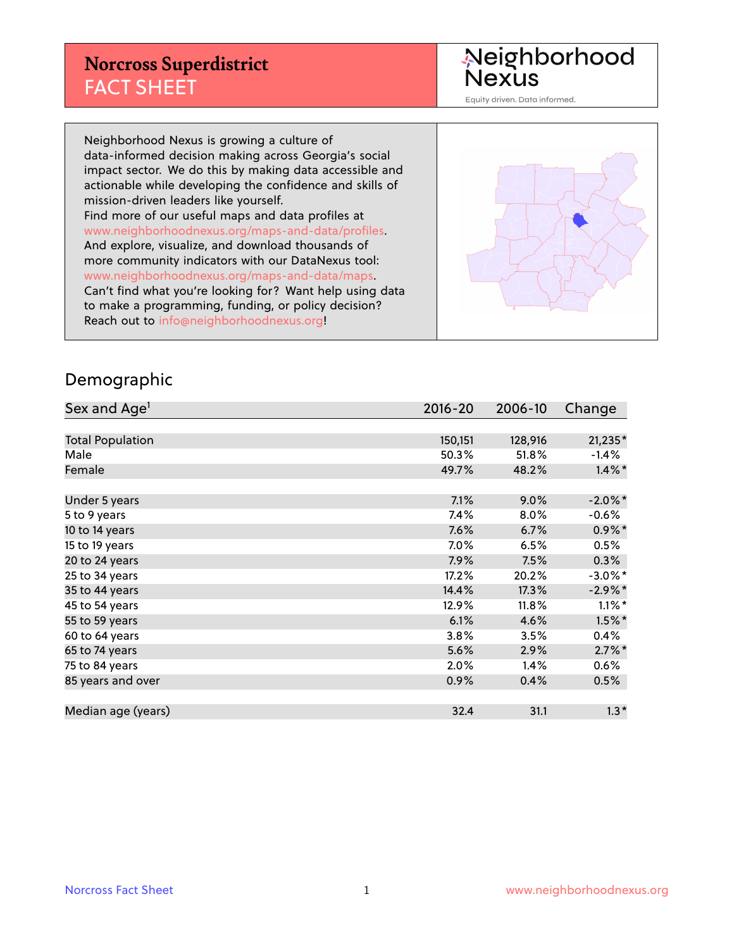#### **Norcross Superdistrict** FACT SHEET

Neighborhood<br>Nexus

Equity driven. Data informed.

Neighborhood Nexus is growing a culture of data-informed decision making across Georgia's social impact sector. We do this by making data accessible and actionable while developing the confidence and skills of mission-driven leaders like yourself. Find more of our useful maps and data profiles at www.neighborhoodnexus.org/maps-and-data/profiles. And explore, visualize, and download thousands of more community indicators with our DataNexus tool: www.neighborhoodnexus.org/maps-and-data/maps. Can't find what you're looking for? Want help using data to make a programming, funding, or policy decision? Reach out to [info@neighborhoodnexus.org!](mailto:info@neighborhoodnexus.org)



#### Demographic

| Sex and Age <sup>1</sup> | $2016 - 20$ | 2006-10 | Change     |
|--------------------------|-------------|---------|------------|
|                          |             |         |            |
| <b>Total Population</b>  | 150,151     | 128,916 | $21,235*$  |
| Male                     | 50.3%       | 51.8%   | $-1.4%$    |
| Female                   | 49.7%       | 48.2%   | $1.4\%$ *  |
|                          |             |         |            |
| Under 5 years            | 7.1%        | 9.0%    | $-2.0\%$ * |
| 5 to 9 years             | $7.4\%$     | 8.0%    | $-0.6%$    |
| 10 to 14 years           | 7.6%        | 6.7%    | $0.9\%$ *  |
| 15 to 19 years           | 7.0%        | 6.5%    | 0.5%       |
| 20 to 24 years           | 7.9%        | 7.5%    | 0.3%       |
| 25 to 34 years           | 17.2%       | 20.2%   | $-3.0\%$ * |
| 35 to 44 years           | 14.4%       | 17.3%   | $-2.9\%$ * |
| 45 to 54 years           | 12.9%       | 11.8%   | $1.1\%$ *  |
| 55 to 59 years           | 6.1%        | 4.6%    | $1.5\%$ *  |
| 60 to 64 years           | 3.8%        | 3.5%    | $0.4\%$    |
| 65 to 74 years           | 5.6%        | 2.9%    | $2.7\%$ *  |
| 75 to 84 years           | $2.0\%$     | 1.4%    | 0.6%       |
| 85 years and over        | 0.9%        | 0.4%    | 0.5%       |
|                          |             |         |            |
| Median age (years)       | 32.4        | 31.1    | $1.3*$     |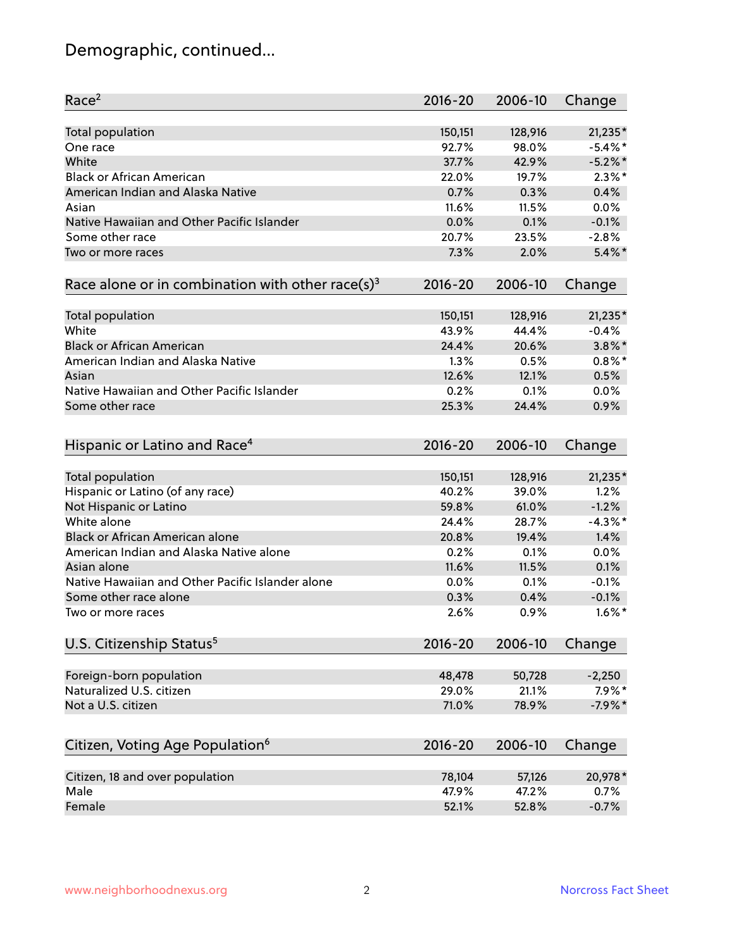## Demographic, continued...

| Race <sup>2</sup>                                            | $2016 - 20$     | 2006-10         | Change                |
|--------------------------------------------------------------|-----------------|-----------------|-----------------------|
| <b>Total population</b>                                      | 150,151         | 128,916         | 21,235*               |
| One race                                                     | 92.7%           | 98.0%           | $-5.4\%$ *            |
| White                                                        | 37.7%           | 42.9%           | $-5.2\%$ *            |
| <b>Black or African American</b>                             | 22.0%           | 19.7%           | $2.3\%$ *             |
| American Indian and Alaska Native                            | 0.7%            | 0.3%            | 0.4%                  |
| Asian                                                        | 11.6%           | 11.5%           | 0.0%                  |
| Native Hawaiian and Other Pacific Islander                   | 0.0%            | 0.1%            | $-0.1%$               |
| Some other race                                              | 20.7%           | 23.5%           | $-2.8%$               |
| Two or more races                                            | 7.3%            | 2.0%            | $5.4\%$ *             |
| Race alone or in combination with other race(s) <sup>3</sup> | $2016 - 20$     | 2006-10         | Change                |
|                                                              |                 |                 |                       |
| Total population                                             | 150,151         | 128,916         | $21,235*$             |
| White                                                        | 43.9%           | 44.4%           | $-0.4%$               |
| <b>Black or African American</b>                             | 24.4%           | 20.6%           | $3.8\%$ *             |
| American Indian and Alaska Native                            | 1.3%            | 0.5%            | $0.8\%$ *             |
| Asian                                                        | 12.6%           | 12.1%           | 0.5%                  |
| Native Hawaiian and Other Pacific Islander                   | 0.2%            | 0.1%            | 0.0%                  |
| Some other race                                              | 25.3%           | 24.4%           | 0.9%                  |
|                                                              |                 |                 |                       |
| Hispanic or Latino and Race <sup>4</sup>                     | $2016 - 20$     | 2006-10         | Change                |
|                                                              |                 |                 |                       |
| <b>Total population</b>                                      | 150,151         | 128,916         | 21,235*               |
| Hispanic or Latino (of any race)                             | 40.2%           | 39.0%           | 1.2%                  |
| Not Hispanic or Latino                                       | 59.8%           | 61.0%           | $-1.2%$               |
| White alone                                                  | 24.4%           | 28.7%           | $-4.3\%$ *            |
| Black or African American alone                              | 20.8%           | 19.4%           | 1.4%                  |
| American Indian and Alaska Native alone                      | 0.2%            | 0.1%            | 0.0%                  |
| Asian alone                                                  | 11.6%           | 11.5%           | 0.1%                  |
| Native Hawaiian and Other Pacific Islander alone             | 0.0%            | 0.1%            | $-0.1%$               |
| Some other race alone                                        | 0.3%            | 0.4%            | $-0.1%$               |
| Two or more races                                            | 2.6%            | 0.9%            | $1.6\%$ *             |
| U.S. Citizenship Status <sup>5</sup>                         | $2016 - 20$     | 2006-10         | Change                |
|                                                              |                 |                 |                       |
| Foreign-born population<br>Naturalized U.S. citizen          | 48,478<br>29.0% | 50,728<br>21.1% | $-2,250$<br>$7.9\%$ * |
|                                                              |                 |                 |                       |
| Not a U.S. citizen                                           | 71.0%           | 78.9%           | $-7.9%$ *             |
| Citizen, Voting Age Population <sup>6</sup>                  | $2016 - 20$     | 2006-10         | Change                |
| Citizen, 18 and over population                              | 78,104          | 57,126          | 20,978*               |
| Male                                                         | 47.9%           | 47.2%           | 0.7%                  |
| Female                                                       | 52.1%           | 52.8%           | $-0.7%$               |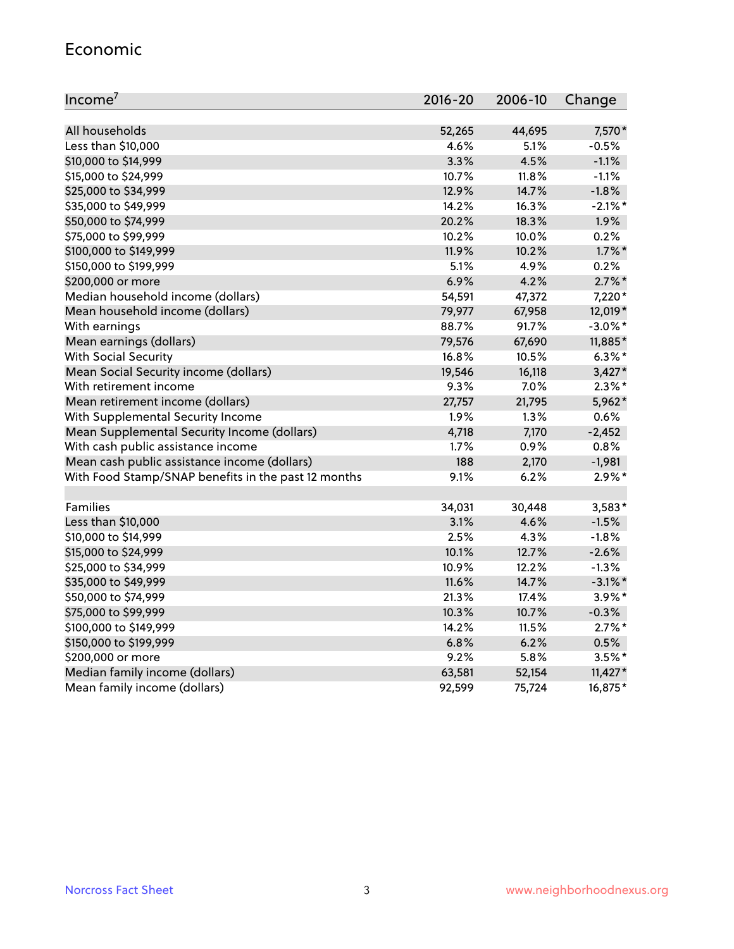#### Economic

| Income <sup>7</sup>                                 | 2016-20 | 2006-10 | Change     |
|-----------------------------------------------------|---------|---------|------------|
|                                                     |         |         |            |
| All households                                      | 52,265  | 44,695  | 7,570*     |
| Less than \$10,000                                  | 4.6%    | 5.1%    | $-0.5%$    |
| \$10,000 to \$14,999                                | 3.3%    | 4.5%    | $-1.1%$    |
| \$15,000 to \$24,999                                | 10.7%   | 11.8%   | $-1.1%$    |
| \$25,000 to \$34,999                                | 12.9%   | 14.7%   | $-1.8%$    |
| \$35,000 to \$49,999                                | 14.2%   | 16.3%   | $-2.1\%$ * |
| \$50,000 to \$74,999                                | 20.2%   | 18.3%   | 1.9%       |
| \$75,000 to \$99,999                                | 10.2%   | 10.0%   | 0.2%       |
| \$100,000 to \$149,999                              | 11.9%   | 10.2%   | $1.7\%$ *  |
| \$150,000 to \$199,999                              | 5.1%    | 4.9%    | 0.2%       |
| \$200,000 or more                                   | 6.9%    | 4.2%    | $2.7\%$ *  |
| Median household income (dollars)                   | 54,591  | 47,372  | 7,220*     |
| Mean household income (dollars)                     | 79,977  | 67,958  | 12,019*    |
| With earnings                                       | 88.7%   | 91.7%   | $-3.0\%$ * |
| Mean earnings (dollars)                             | 79,576  | 67,690  | 11,885*    |
| <b>With Social Security</b>                         | 16.8%   | 10.5%   | $6.3\%$ *  |
| Mean Social Security income (dollars)               | 19,546  | 16,118  | $3,427*$   |
| With retirement income                              | 9.3%    | 7.0%    | $2.3\%$ *  |
| Mean retirement income (dollars)                    | 27,757  | 21,795  | 5,962*     |
| With Supplemental Security Income                   | 1.9%    | 1.3%    | 0.6%       |
| Mean Supplemental Security Income (dollars)         | 4,718   | 7,170   | $-2,452$   |
| With cash public assistance income                  | 1.7%    | 0.9%    | 0.8%       |
| Mean cash public assistance income (dollars)        | 188     | 2,170   | $-1,981$   |
| With Food Stamp/SNAP benefits in the past 12 months | 9.1%    | 6.2%    | $2.9\%$ *  |
|                                                     |         |         |            |
| Families                                            | 34,031  | 30,448  | 3,583*     |
| Less than \$10,000                                  | 3.1%    | 4.6%    | $-1.5%$    |
| \$10,000 to \$14,999                                | 2.5%    | 4.3%    | $-1.8%$    |
| \$15,000 to \$24,999                                | 10.1%   | 12.7%   | $-2.6%$    |
| \$25,000 to \$34,999                                | 10.9%   | 12.2%   | $-1.3%$    |
| \$35,000 to \$49,999                                | 11.6%   | 14.7%   | $-3.1\%$ * |
| \$50,000 to \$74,999                                | 21.3%   | 17.4%   | $3.9\%$ *  |
| \$75,000 to \$99,999                                | 10.3%   | 10.7%   | $-0.3%$    |
| \$100,000 to \$149,999                              | 14.2%   | 11.5%   | $2.7\%$ *  |
| \$150,000 to \$199,999                              | 6.8%    | 6.2%    | 0.5%       |
| \$200,000 or more                                   | 9.2%    | 5.8%    | $3.5%$ *   |
| Median family income (dollars)                      | 63,581  | 52,154  | $11,427*$  |
| Mean family income (dollars)                        | 92,599  | 75,724  | 16,875*    |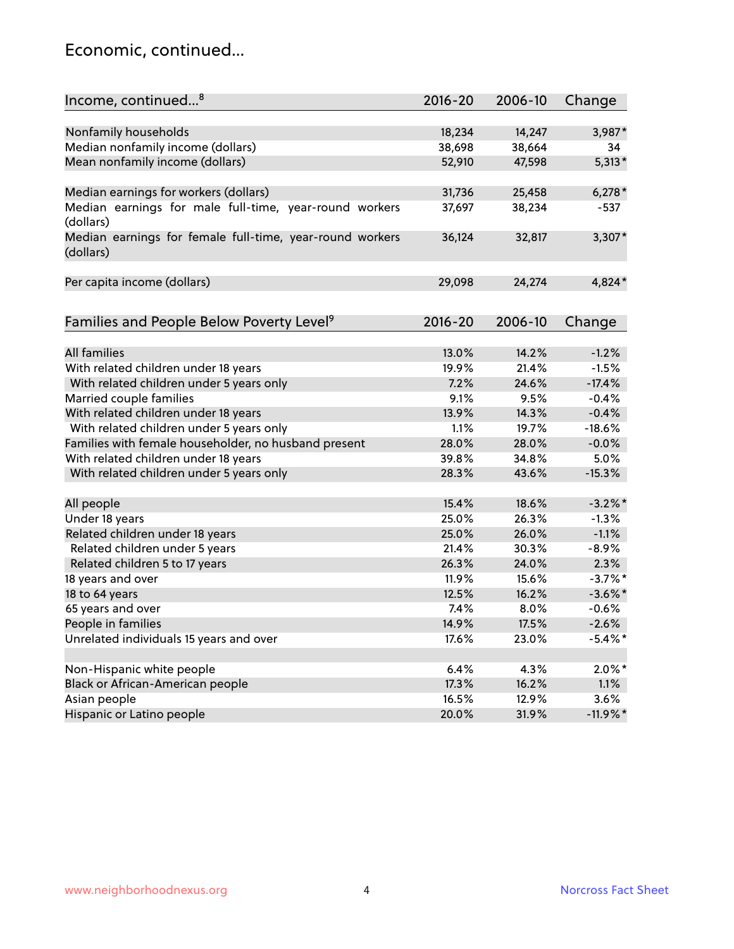#### Economic, continued...

| Income, continued <sup>8</sup>                                        | $2016 - 20$ | 2006-10 | Change      |
|-----------------------------------------------------------------------|-------------|---------|-------------|
|                                                                       |             |         |             |
| Nonfamily households                                                  | 18,234      | 14,247  | 3,987*      |
| Median nonfamily income (dollars)                                     | 38,698      | 38,664  | 34          |
| Mean nonfamily income (dollars)                                       | 52,910      | 47,598  | $5,313*$    |
| Median earnings for workers (dollars)                                 | 31,736      | 25,458  | $6,278*$    |
| Median earnings for male full-time, year-round workers<br>(dollars)   | 37,697      | 38,234  | $-537$      |
| Median earnings for female full-time, year-round workers<br>(dollars) | 36,124      | 32,817  | 3,307*      |
| Per capita income (dollars)                                           | 29,098      | 24,274  | 4,824*      |
| Families and People Below Poverty Level <sup>9</sup>                  | 2016-20     | 2006-10 | Change      |
|                                                                       |             |         |             |
| <b>All families</b>                                                   | 13.0%       | 14.2%   | $-1.2%$     |
| With related children under 18 years                                  | 19.9%       | 21.4%   | $-1.5%$     |
| With related children under 5 years only                              | 7.2%        | 24.6%   | $-17.4%$    |
| Married couple families                                               | 9.1%        | 9.5%    | $-0.4%$     |
| With related children under 18 years                                  | 13.9%       | 14.3%   | $-0.4%$     |
| With related children under 5 years only                              | 1.1%        | 19.7%   | $-18.6%$    |
| Families with female householder, no husband present                  | 28.0%       | 28.0%   | $-0.0%$     |
| With related children under 18 years                                  | 39.8%       | 34.8%   | 5.0%        |
| With related children under 5 years only                              | 28.3%       | 43.6%   | $-15.3%$    |
| All people                                                            | 15.4%       | 18.6%   | $-3.2\%$ *  |
| Under 18 years                                                        | 25.0%       | 26.3%   | $-1.3%$     |
| Related children under 18 years                                       | 25.0%       | 26.0%   | $-1.1%$     |
| Related children under 5 years                                        | 21.4%       | 30.3%   | $-8.9%$     |
| Related children 5 to 17 years                                        | 26.3%       | 24.0%   | 2.3%        |
| 18 years and over                                                     | 11.9%       | 15.6%   | $-3.7\%$ *  |
| 18 to 64 years                                                        | 12.5%       | 16.2%   | $-3.6\%$ *  |
| 65 years and over                                                     | 7.4%        | 8.0%    | $-0.6%$     |
| People in families                                                    | 14.9%       | 17.5%   | $-2.6%$     |
| Unrelated individuals 15 years and over                               | 17.6%       | 23.0%   | $-5.4\%$ *  |
|                                                                       |             |         |             |
| Non-Hispanic white people                                             | 6.4%        | 4.3%    | $2.0\%$ *   |
| Black or African-American people                                      | 17.3%       | 16.2%   | 1.1%        |
| Asian people                                                          | 16.5%       | 12.9%   | 3.6%        |
| Hispanic or Latino people                                             | 20.0%       | 31.9%   | $-11.9\%$ * |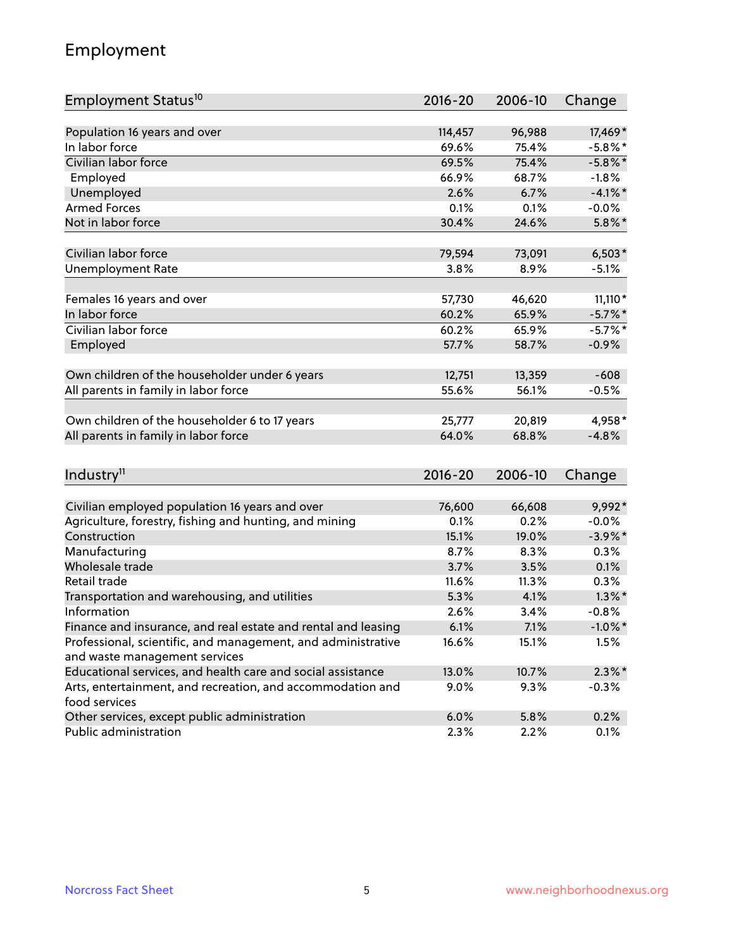## Employment

| Employment Status <sup>10</sup>                               | $2016 - 20$ | 2006-10 | Change     |
|---------------------------------------------------------------|-------------|---------|------------|
|                                                               |             |         |            |
| Population 16 years and over                                  | 114,457     | 96,988  | 17,469*    |
| In labor force                                                | 69.6%       | 75.4%   | $-5.8\%$ * |
| Civilian labor force                                          | 69.5%       | 75.4%   | $-5.8\%$ * |
| Employed                                                      | 66.9%       | 68.7%   | $-1.8%$    |
| Unemployed                                                    | 2.6%        | 6.7%    | $-4.1\%$ * |
| <b>Armed Forces</b>                                           | 0.1%        | 0.1%    | $-0.0%$    |
| Not in labor force                                            | 30.4%       | 24.6%   | $5.8\%$ *  |
| Civilian labor force                                          | 79,594      | 73,091  | $6,503*$   |
| Unemployment Rate                                             | 3.8%        | 8.9%    | $-5.1%$    |
|                                                               |             |         |            |
| Females 16 years and over                                     | 57,730      | 46,620  | $11,110*$  |
| In labor force                                                | 60.2%       | 65.9%   | $-5.7\%$ * |
| Civilian labor force                                          | 60.2%       | 65.9%   | $-5.7%$ *  |
| Employed                                                      | 57.7%       | 58.7%   | $-0.9%$    |
| Own children of the householder under 6 years                 | 12,751      | 13,359  | $-608$     |
| All parents in family in labor force                          | 55.6%       | 56.1%   | $-0.5%$    |
|                                                               |             |         |            |
| Own children of the householder 6 to 17 years                 | 25,777      | 20,819  | 4,958*     |
| All parents in family in labor force                          | 64.0%       | 68.8%   | $-4.8%$    |
|                                                               |             |         |            |
| Industry <sup>11</sup>                                        | 2016-20     | 2006-10 | Change     |
| Civilian employed population 16 years and over                | 76,600      | 66,608  | 9,992*     |
| Agriculture, forestry, fishing and hunting, and mining        | 0.1%        | 0.2%    | $-0.0%$    |
| Construction                                                  | 15.1%       | 19.0%   | $-3.9\%$ * |
| Manufacturing                                                 | 8.7%        | 8.3%    | 0.3%       |
| Wholesale trade                                               | 3.7%        | 3.5%    | 0.1%       |
| Retail trade                                                  | 11.6%       | 11.3%   | 0.3%       |
| Transportation and warehousing, and utilities                 | 5.3%        | 4.1%    | $1.3\%$ *  |
| Information                                                   | 2.6%        | 3.4%    | $-0.8%$    |
| Finance and insurance, and real estate and rental and leasing | 6.1%        | 7.1%    | $-1.0\%$ * |
| Professional, scientific, and management, and administrative  | 16.6%       | 15.1%   | 1.5%       |
| and waste management services                                 |             |         |            |
| Educational services, and health care and social assistance   | 13.0%       | 10.7%   | $2.3\%$ *  |
| Arts, entertainment, and recreation, and accommodation and    | 9.0%        | 9.3%    | $-0.3%$    |
| food services                                                 |             |         |            |
| Other services, except public administration                  | 6.0%        | 5.8%    | 0.2%       |
| Public administration                                         | 2.3%        | 2.2%    | 0.1%       |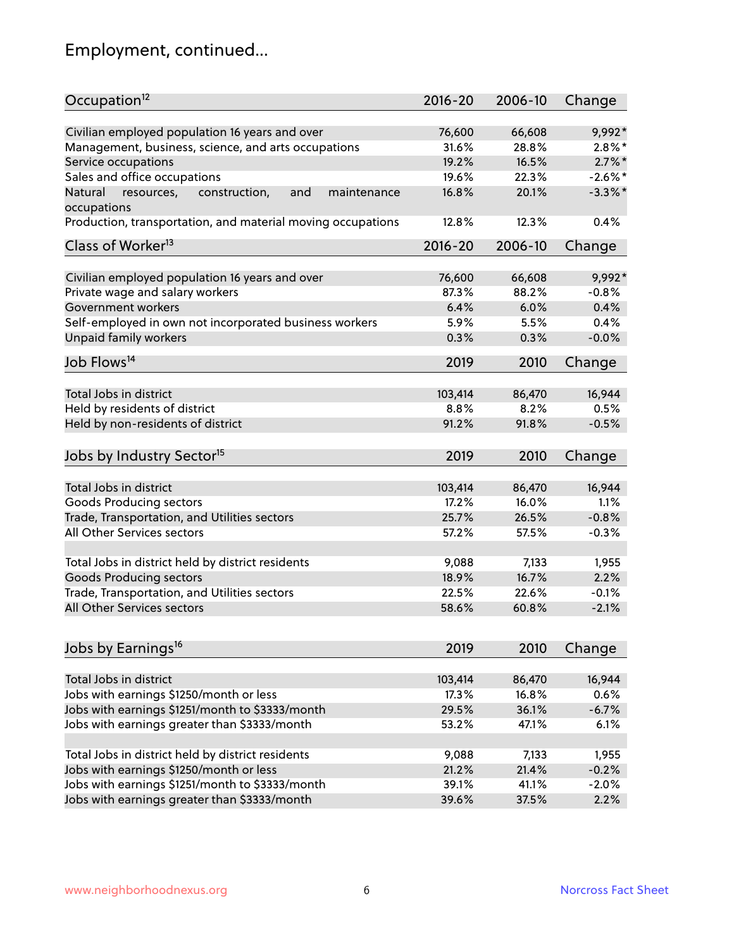## Employment, continued...

| Civilian employed population 16 years and over<br>66,608<br>76,600<br>9,992*<br>Management, business, science, and arts occupations<br>28.8%<br>$2.8\%$ *<br>31.6%<br>16.5%<br>$2.7\%$ *<br>Service occupations<br>19.2%<br>Sales and office occupations<br>$-2.6\%$ *<br>19.6%<br>22.3%<br>$-3.3\%$ *<br>Natural<br>and<br>16.8%<br>20.1%<br>resources,<br>construction,<br>maintenance<br>12.8%<br>12.3%<br>0.4%<br>$2016 - 20$<br>2006-10<br>Change<br>9,992*<br>Civilian employed population 16 years and over<br>66,608<br>76,600<br>Private wage and salary workers<br>87.3%<br>88.2%<br>$-0.8%$<br>6.0%<br>0.4%<br>Government workers<br>6.4%<br>Self-employed in own not incorporated business workers<br>5.9%<br>0.4%<br>5.5%<br>Unpaid family workers<br>$-0.0%$<br>0.3%<br>0.3%<br>2019<br>2010<br>Change<br>Total Jobs in district<br>103,414<br>86,470<br>16,944<br>Held by residents of district<br>8.8%<br>8.2%<br>0.5%<br>$-0.5%$<br>91.2%<br>91.8%<br>2019<br>2010<br>Change<br>Total Jobs in district<br>103,414<br>86,470<br>16,944<br>Goods Producing sectors<br>17.2%<br>16.0%<br>1.1%<br>$-0.8%$<br>Trade, Transportation, and Utilities sectors<br>25.7%<br>26.5%<br>All Other Services sectors<br>$-0.3%$<br>57.2%<br>57.5%<br>Total Jobs in district held by district residents<br>9,088<br>7,133<br>1,955<br><b>Goods Producing sectors</b><br>16.7%<br>2.2%<br>18.9%<br>Trade, Transportation, and Utilities sectors<br>22.5%<br>22.6%<br>$-0.1%$<br>All Other Services sectors<br>$-2.1%$<br>58.6%<br>60.8%<br>2019<br>2010<br>Change<br>Total Jobs in district<br>16,944<br>103,414<br>86,470<br>Jobs with earnings \$1250/month or less<br>17.3%<br>16.8%<br>0.6%<br>Jobs with earnings \$1251/month to \$3333/month<br>$-6.7%$<br>29.5%<br>36.1%<br>Jobs with earnings greater than \$3333/month<br>47.1%<br>6.1%<br>53.2% | Occupation <sup>12</sup>                                    | $2016 - 20$ | 2006-10 | Change |
|-----------------------------------------------------------------------------------------------------------------------------------------------------------------------------------------------------------------------------------------------------------------------------------------------------------------------------------------------------------------------------------------------------------------------------------------------------------------------------------------------------------------------------------------------------------------------------------------------------------------------------------------------------------------------------------------------------------------------------------------------------------------------------------------------------------------------------------------------------------------------------------------------------------------------------------------------------------------------------------------------------------------------------------------------------------------------------------------------------------------------------------------------------------------------------------------------------------------------------------------------------------------------------------------------------------------------------------------------------------------------------------------------------------------------------------------------------------------------------------------------------------------------------------------------------------------------------------------------------------------------------------------------------------------------------------------------------------------------------------------------------------------------------------------------------------------------------------------------------------|-------------------------------------------------------------|-------------|---------|--------|
|                                                                                                                                                                                                                                                                                                                                                                                                                                                                                                                                                                                                                                                                                                                                                                                                                                                                                                                                                                                                                                                                                                                                                                                                                                                                                                                                                                                                                                                                                                                                                                                                                                                                                                                                                                                                                                                           |                                                             |             |         |        |
|                                                                                                                                                                                                                                                                                                                                                                                                                                                                                                                                                                                                                                                                                                                                                                                                                                                                                                                                                                                                                                                                                                                                                                                                                                                                                                                                                                                                                                                                                                                                                                                                                                                                                                                                                                                                                                                           |                                                             |             |         |        |
|                                                                                                                                                                                                                                                                                                                                                                                                                                                                                                                                                                                                                                                                                                                                                                                                                                                                                                                                                                                                                                                                                                                                                                                                                                                                                                                                                                                                                                                                                                                                                                                                                                                                                                                                                                                                                                                           |                                                             |             |         |        |
|                                                                                                                                                                                                                                                                                                                                                                                                                                                                                                                                                                                                                                                                                                                                                                                                                                                                                                                                                                                                                                                                                                                                                                                                                                                                                                                                                                                                                                                                                                                                                                                                                                                                                                                                                                                                                                                           |                                                             |             |         |        |
|                                                                                                                                                                                                                                                                                                                                                                                                                                                                                                                                                                                                                                                                                                                                                                                                                                                                                                                                                                                                                                                                                                                                                                                                                                                                                                                                                                                                                                                                                                                                                                                                                                                                                                                                                                                                                                                           |                                                             |             |         |        |
|                                                                                                                                                                                                                                                                                                                                                                                                                                                                                                                                                                                                                                                                                                                                                                                                                                                                                                                                                                                                                                                                                                                                                                                                                                                                                                                                                                                                                                                                                                                                                                                                                                                                                                                                                                                                                                                           | occupations                                                 |             |         |        |
|                                                                                                                                                                                                                                                                                                                                                                                                                                                                                                                                                                                                                                                                                                                                                                                                                                                                                                                                                                                                                                                                                                                                                                                                                                                                                                                                                                                                                                                                                                                                                                                                                                                                                                                                                                                                                                                           | Production, transportation, and material moving occupations |             |         |        |
|                                                                                                                                                                                                                                                                                                                                                                                                                                                                                                                                                                                                                                                                                                                                                                                                                                                                                                                                                                                                                                                                                                                                                                                                                                                                                                                                                                                                                                                                                                                                                                                                                                                                                                                                                                                                                                                           | Class of Worker <sup>13</sup>                               |             |         |        |
|                                                                                                                                                                                                                                                                                                                                                                                                                                                                                                                                                                                                                                                                                                                                                                                                                                                                                                                                                                                                                                                                                                                                                                                                                                                                                                                                                                                                                                                                                                                                                                                                                                                                                                                                                                                                                                                           |                                                             |             |         |        |
|                                                                                                                                                                                                                                                                                                                                                                                                                                                                                                                                                                                                                                                                                                                                                                                                                                                                                                                                                                                                                                                                                                                                                                                                                                                                                                                                                                                                                                                                                                                                                                                                                                                                                                                                                                                                                                                           |                                                             |             |         |        |
|                                                                                                                                                                                                                                                                                                                                                                                                                                                                                                                                                                                                                                                                                                                                                                                                                                                                                                                                                                                                                                                                                                                                                                                                                                                                                                                                                                                                                                                                                                                                                                                                                                                                                                                                                                                                                                                           |                                                             |             |         |        |
|                                                                                                                                                                                                                                                                                                                                                                                                                                                                                                                                                                                                                                                                                                                                                                                                                                                                                                                                                                                                                                                                                                                                                                                                                                                                                                                                                                                                                                                                                                                                                                                                                                                                                                                                                                                                                                                           |                                                             |             |         |        |
|                                                                                                                                                                                                                                                                                                                                                                                                                                                                                                                                                                                                                                                                                                                                                                                                                                                                                                                                                                                                                                                                                                                                                                                                                                                                                                                                                                                                                                                                                                                                                                                                                                                                                                                                                                                                                                                           |                                                             |             |         |        |
|                                                                                                                                                                                                                                                                                                                                                                                                                                                                                                                                                                                                                                                                                                                                                                                                                                                                                                                                                                                                                                                                                                                                                                                                                                                                                                                                                                                                                                                                                                                                                                                                                                                                                                                                                                                                                                                           |                                                             |             |         |        |
|                                                                                                                                                                                                                                                                                                                                                                                                                                                                                                                                                                                                                                                                                                                                                                                                                                                                                                                                                                                                                                                                                                                                                                                                                                                                                                                                                                                                                                                                                                                                                                                                                                                                                                                                                                                                                                                           | Job Flows <sup>14</sup>                                     |             |         |        |
|                                                                                                                                                                                                                                                                                                                                                                                                                                                                                                                                                                                                                                                                                                                                                                                                                                                                                                                                                                                                                                                                                                                                                                                                                                                                                                                                                                                                                                                                                                                                                                                                                                                                                                                                                                                                                                                           |                                                             |             |         |        |
|                                                                                                                                                                                                                                                                                                                                                                                                                                                                                                                                                                                                                                                                                                                                                                                                                                                                                                                                                                                                                                                                                                                                                                                                                                                                                                                                                                                                                                                                                                                                                                                                                                                                                                                                                                                                                                                           |                                                             |             |         |        |
|                                                                                                                                                                                                                                                                                                                                                                                                                                                                                                                                                                                                                                                                                                                                                                                                                                                                                                                                                                                                                                                                                                                                                                                                                                                                                                                                                                                                                                                                                                                                                                                                                                                                                                                                                                                                                                                           |                                                             |             |         |        |
|                                                                                                                                                                                                                                                                                                                                                                                                                                                                                                                                                                                                                                                                                                                                                                                                                                                                                                                                                                                                                                                                                                                                                                                                                                                                                                                                                                                                                                                                                                                                                                                                                                                                                                                                                                                                                                                           | Held by non-residents of district                           |             |         |        |
|                                                                                                                                                                                                                                                                                                                                                                                                                                                                                                                                                                                                                                                                                                                                                                                                                                                                                                                                                                                                                                                                                                                                                                                                                                                                                                                                                                                                                                                                                                                                                                                                                                                                                                                                                                                                                                                           | Jobs by Industry Sector <sup>15</sup>                       |             |         |        |
|                                                                                                                                                                                                                                                                                                                                                                                                                                                                                                                                                                                                                                                                                                                                                                                                                                                                                                                                                                                                                                                                                                                                                                                                                                                                                                                                                                                                                                                                                                                                                                                                                                                                                                                                                                                                                                                           |                                                             |             |         |        |
|                                                                                                                                                                                                                                                                                                                                                                                                                                                                                                                                                                                                                                                                                                                                                                                                                                                                                                                                                                                                                                                                                                                                                                                                                                                                                                                                                                                                                                                                                                                                                                                                                                                                                                                                                                                                                                                           |                                                             |             |         |        |
|                                                                                                                                                                                                                                                                                                                                                                                                                                                                                                                                                                                                                                                                                                                                                                                                                                                                                                                                                                                                                                                                                                                                                                                                                                                                                                                                                                                                                                                                                                                                                                                                                                                                                                                                                                                                                                                           |                                                             |             |         |        |
|                                                                                                                                                                                                                                                                                                                                                                                                                                                                                                                                                                                                                                                                                                                                                                                                                                                                                                                                                                                                                                                                                                                                                                                                                                                                                                                                                                                                                                                                                                                                                                                                                                                                                                                                                                                                                                                           |                                                             |             |         |        |
|                                                                                                                                                                                                                                                                                                                                                                                                                                                                                                                                                                                                                                                                                                                                                                                                                                                                                                                                                                                                                                                                                                                                                                                                                                                                                                                                                                                                                                                                                                                                                                                                                                                                                                                                                                                                                                                           |                                                             |             |         |        |
|                                                                                                                                                                                                                                                                                                                                                                                                                                                                                                                                                                                                                                                                                                                                                                                                                                                                                                                                                                                                                                                                                                                                                                                                                                                                                                                                                                                                                                                                                                                                                                                                                                                                                                                                                                                                                                                           |                                                             |             |         |        |
|                                                                                                                                                                                                                                                                                                                                                                                                                                                                                                                                                                                                                                                                                                                                                                                                                                                                                                                                                                                                                                                                                                                                                                                                                                                                                                                                                                                                                                                                                                                                                                                                                                                                                                                                                                                                                                                           |                                                             |             |         |        |
|                                                                                                                                                                                                                                                                                                                                                                                                                                                                                                                                                                                                                                                                                                                                                                                                                                                                                                                                                                                                                                                                                                                                                                                                                                                                                                                                                                                                                                                                                                                                                                                                                                                                                                                                                                                                                                                           |                                                             |             |         |        |
|                                                                                                                                                                                                                                                                                                                                                                                                                                                                                                                                                                                                                                                                                                                                                                                                                                                                                                                                                                                                                                                                                                                                                                                                                                                                                                                                                                                                                                                                                                                                                                                                                                                                                                                                                                                                                                                           |                                                             |             |         |        |
|                                                                                                                                                                                                                                                                                                                                                                                                                                                                                                                                                                                                                                                                                                                                                                                                                                                                                                                                                                                                                                                                                                                                                                                                                                                                                                                                                                                                                                                                                                                                                                                                                                                                                                                                                                                                                                                           |                                                             |             |         |        |
|                                                                                                                                                                                                                                                                                                                                                                                                                                                                                                                                                                                                                                                                                                                                                                                                                                                                                                                                                                                                                                                                                                                                                                                                                                                                                                                                                                                                                                                                                                                                                                                                                                                                                                                                                                                                                                                           | Jobs by Earnings <sup>16</sup>                              |             |         |        |
|                                                                                                                                                                                                                                                                                                                                                                                                                                                                                                                                                                                                                                                                                                                                                                                                                                                                                                                                                                                                                                                                                                                                                                                                                                                                                                                                                                                                                                                                                                                                                                                                                                                                                                                                                                                                                                                           |                                                             |             |         |        |
|                                                                                                                                                                                                                                                                                                                                                                                                                                                                                                                                                                                                                                                                                                                                                                                                                                                                                                                                                                                                                                                                                                                                                                                                                                                                                                                                                                                                                                                                                                                                                                                                                                                                                                                                                                                                                                                           |                                                             |             |         |        |
|                                                                                                                                                                                                                                                                                                                                                                                                                                                                                                                                                                                                                                                                                                                                                                                                                                                                                                                                                                                                                                                                                                                                                                                                                                                                                                                                                                                                                                                                                                                                                                                                                                                                                                                                                                                                                                                           |                                                             |             |         |        |
|                                                                                                                                                                                                                                                                                                                                                                                                                                                                                                                                                                                                                                                                                                                                                                                                                                                                                                                                                                                                                                                                                                                                                                                                                                                                                                                                                                                                                                                                                                                                                                                                                                                                                                                                                                                                                                                           |                                                             |             |         |        |
|                                                                                                                                                                                                                                                                                                                                                                                                                                                                                                                                                                                                                                                                                                                                                                                                                                                                                                                                                                                                                                                                                                                                                                                                                                                                                                                                                                                                                                                                                                                                                                                                                                                                                                                                                                                                                                                           |                                                             |             |         |        |
| 9,088<br>7,133<br>1,955                                                                                                                                                                                                                                                                                                                                                                                                                                                                                                                                                                                                                                                                                                                                                                                                                                                                                                                                                                                                                                                                                                                                                                                                                                                                                                                                                                                                                                                                                                                                                                                                                                                                                                                                                                                                                                   | Total Jobs in district held by district residents           |             |         |        |
| 21.4%<br>$-0.2%$<br>21.2%                                                                                                                                                                                                                                                                                                                                                                                                                                                                                                                                                                                                                                                                                                                                                                                                                                                                                                                                                                                                                                                                                                                                                                                                                                                                                                                                                                                                                                                                                                                                                                                                                                                                                                                                                                                                                                 | Jobs with earnings \$1250/month or less                     |             |         |        |
| 39.1%<br>41.1%<br>$-2.0%$                                                                                                                                                                                                                                                                                                                                                                                                                                                                                                                                                                                                                                                                                                                                                                                                                                                                                                                                                                                                                                                                                                                                                                                                                                                                                                                                                                                                                                                                                                                                                                                                                                                                                                                                                                                                                                 | Jobs with earnings \$1251/month to \$3333/month             |             |         |        |
| 39.6%<br>37.5%<br>2.2%                                                                                                                                                                                                                                                                                                                                                                                                                                                                                                                                                                                                                                                                                                                                                                                                                                                                                                                                                                                                                                                                                                                                                                                                                                                                                                                                                                                                                                                                                                                                                                                                                                                                                                                                                                                                                                    | Jobs with earnings greater than \$3333/month                |             |         |        |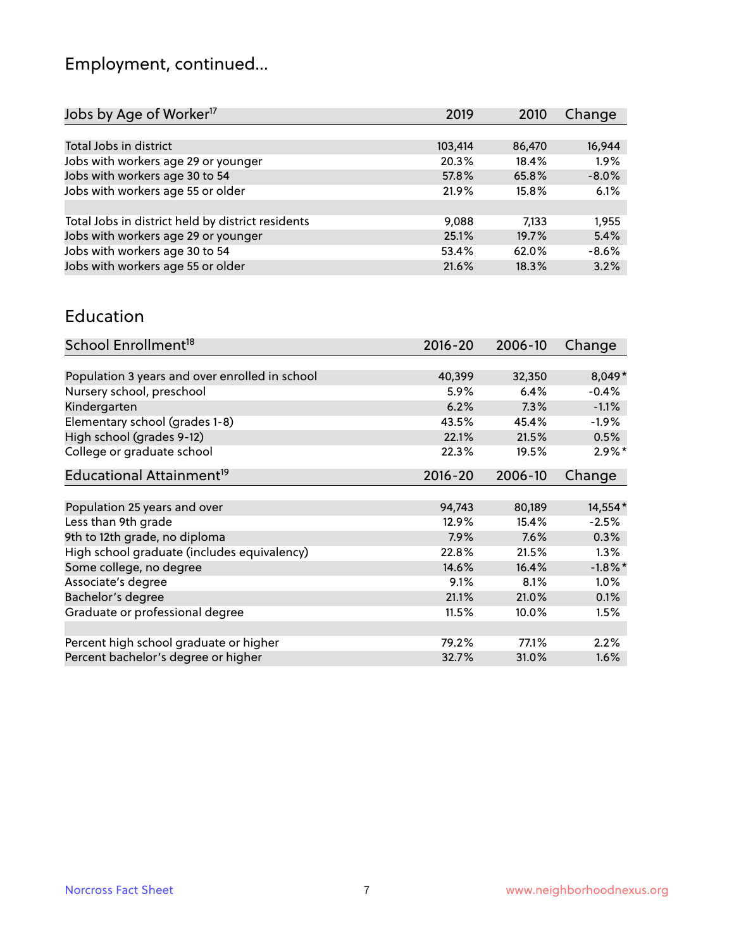# Employment, continued...

| Jobs by Age of Worker <sup>17</sup>               | 2019    | 2010   | Change  |
|---------------------------------------------------|---------|--------|---------|
|                                                   |         |        |         |
| Total Jobs in district                            | 103,414 | 86,470 | 16,944  |
| Jobs with workers age 29 or younger               | 20.3%   | 18.4%  | 1.9%    |
| Jobs with workers age 30 to 54                    | 57.8%   | 65.8%  | $-8.0%$ |
| Jobs with workers age 55 or older                 | 21.9%   | 15.8%  | 6.1%    |
|                                                   |         |        |         |
| Total Jobs in district held by district residents | 9,088   | 7.133  | 1,955   |
| Jobs with workers age 29 or younger               | 25.1%   | 19.7%  | 5.4%    |
| Jobs with workers age 30 to 54                    | 53.4%   | 62.0%  | $-8.6%$ |
| Jobs with workers age 55 or older                 | 21.6%   | 18.3%  | 3.2%    |
|                                                   |         |        |         |

#### Education

| School Enrollment <sup>18</sup>                | $2016 - 20$ | 2006-10 | Change     |
|------------------------------------------------|-------------|---------|------------|
|                                                |             |         |            |
| Population 3 years and over enrolled in school | 40,399      | 32,350  | 8,049*     |
| Nursery school, preschool                      | 5.9%        | 6.4%    | $-0.4%$    |
| Kindergarten                                   | 6.2%        | 7.3%    | $-1.1%$    |
| Elementary school (grades 1-8)                 | 43.5%       | 45.4%   | $-1.9%$    |
| High school (grades 9-12)                      | 22.1%       | 21.5%   | 0.5%       |
| College or graduate school                     | 22.3%       | 19.5%   | $2.9\%*$   |
| Educational Attainment <sup>19</sup>           | $2016 - 20$ | 2006-10 | Change     |
|                                                |             |         |            |
| Population 25 years and over                   | 94,743      | 80,189  | 14,554*    |
| Less than 9th grade                            | 12.9%       | 15.4%   | $-2.5%$    |
| 9th to 12th grade, no diploma                  | 7.9%        | 7.6%    | 0.3%       |
| High school graduate (includes equivalency)    | 22.8%       | 21.5%   | 1.3%       |
| Some college, no degree                        | 14.6%       | 16.4%   | $-1.8\%$ * |
| Associate's degree                             | 9.1%        | 8.1%    | 1.0%       |
| Bachelor's degree                              | 21.1%       | 21.0%   | 0.1%       |
| Graduate or professional degree                | 11.5%       | 10.0%   | 1.5%       |
|                                                |             |         |            |
| Percent high school graduate or higher         | 79.2%       | 77.1%   | 2.2%       |
| Percent bachelor's degree or higher            | 32.7%       | 31.0%   | $1.6\%$    |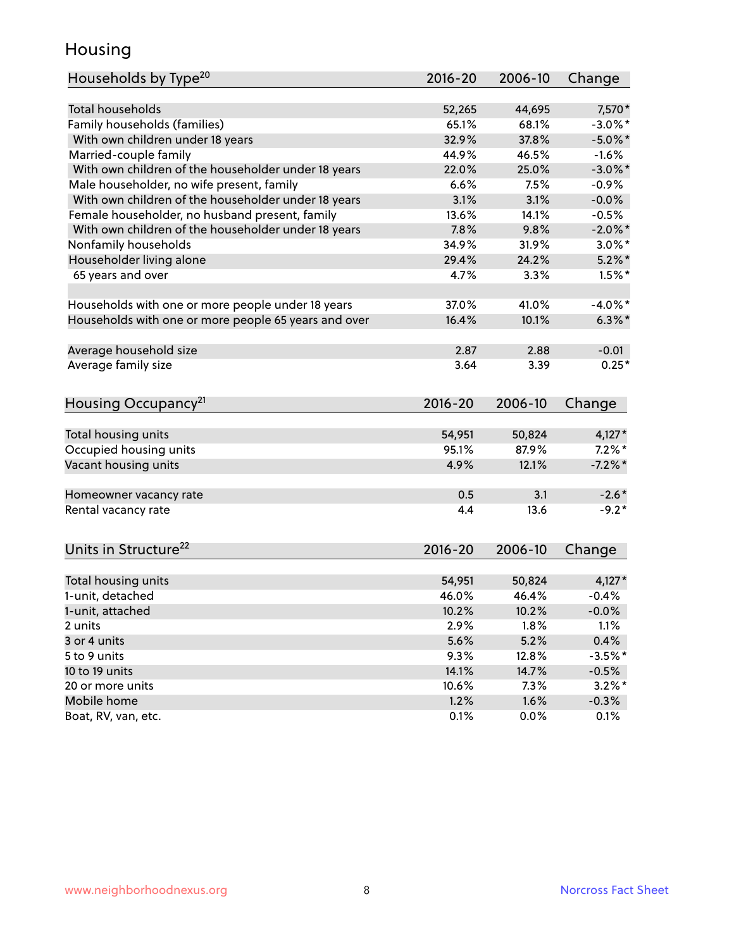#### Housing

| Households by Type <sup>20</sup>                     | 2016-20       | 2006-10 | Change             |
|------------------------------------------------------|---------------|---------|--------------------|
|                                                      |               |         |                    |
| <b>Total households</b>                              | 52,265        | 44,695  | 7,570*             |
| Family households (families)                         | 65.1%         | 68.1%   | $-3.0\%$ *         |
| With own children under 18 years                     | 32.9%         | 37.8%   | $-5.0\%$ *         |
| Married-couple family                                | 44.9%         | 46.5%   | $-1.6%$            |
| With own children of the householder under 18 years  | 22.0%         | 25.0%   | $-3.0\%$ *         |
| Male householder, no wife present, family            | 6.6%          | 7.5%    | $-0.9%$            |
| With own children of the householder under 18 years  | 3.1%          | 3.1%    | $-0.0%$            |
| Female householder, no husband present, family       | 13.6%         | 14.1%   | $-0.5%$            |
| With own children of the householder under 18 years  | 7.8%          | 9.8%    | $-2.0\%$ *         |
| Nonfamily households                                 | 34.9%         | 31.9%   | $3.0\%$ *          |
| Householder living alone                             | 29.4%         | 24.2%   | $5.2\%$ *          |
| 65 years and over                                    | 4.7%          | 3.3%    | $1.5%$ *           |
| Households with one or more people under 18 years    | 37.0%         | 41.0%   | $-4.0\%$ *         |
| Households with one or more people 65 years and over | 16.4%         | 10.1%   | $6.3\%$ *          |
|                                                      |               |         |                    |
| Average household size                               | 2.87<br>3.64  | 2.88    | $-0.01$<br>$0.25*$ |
| Average family size                                  |               | 3.39    |                    |
| Housing Occupancy <sup>21</sup>                      | $2016 - 20$   | 2006-10 | Change             |
| Total housing units                                  | 54,951        | 50,824  | $4,127*$           |
| Occupied housing units                               | 95.1%         | 87.9%   | $7.2\%$ *          |
| Vacant housing units                                 | 4.9%          | 12.1%   | $-7.2%$ *          |
|                                                      |               |         |                    |
| Homeowner vacancy rate                               | 0.5           | 3.1     | $-2.6*$            |
| Rental vacancy rate                                  | 4.4           | 13.6    | $-9.2*$            |
| Units in Structure <sup>22</sup>                     | $2016 - 20$   | 2006-10 | Change             |
| Total housing units                                  | 54,951        | 50,824  | $4,127*$           |
| 1-unit, detached                                     | 46.0%         | 46.4%   | $-0.4%$            |
| 1-unit, attached                                     | 10.2%         | 10.2%   | $-0.0%$            |
| 2 units                                              | 2.9%          | 1.8%    | 1.1%               |
| 3 or 4 units                                         | 5.6%          | 5.2%    | 0.4%               |
| 5 to 9 units                                         | 9.3%          | 12.8%   | $-3.5%$ *          |
| 10 to 19 units                                       |               |         |                    |
|                                                      | 14.1%         | 14.7%   | $-0.5%$            |
| 20 or more units                                     | 10.6%<br>1.2% | 7.3%    | $3.2\%$ *          |
| Mobile home                                          |               | 1.6%    | $-0.3\%$           |
| Boat, RV, van, etc.                                  | 0.1%          | 0.0%    | 0.1%               |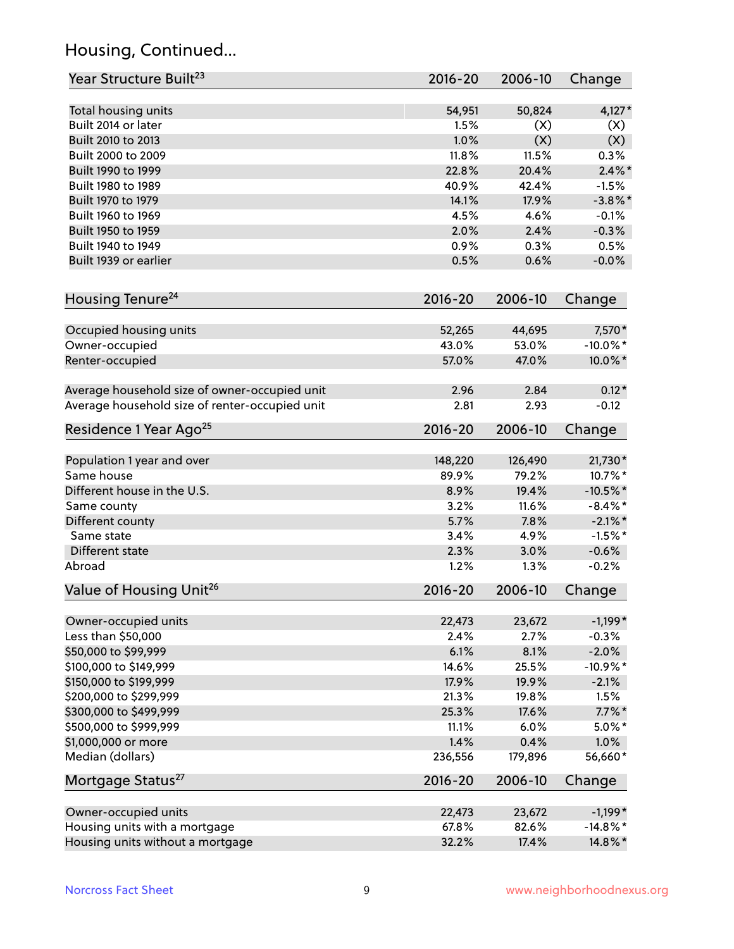## Housing, Continued...

| Year Structure Built <sup>23</sup>             | 2016-20         | 2006-10      | Change            |
|------------------------------------------------|-----------------|--------------|-------------------|
| Total housing units                            | 54,951          | 50,824       | $4,127*$          |
| Built 2014 or later                            | 1.5%            | (X)          | (X)               |
| Built 2010 to 2013                             | 1.0%            | (X)          | (X)               |
| Built 2000 to 2009                             | 11.8%           | 11.5%        | 0.3%              |
| Built 1990 to 1999                             | 22.8%           | 20.4%        | $2.4\%$ *         |
| Built 1980 to 1989                             | 40.9%           | 42.4%        | $-1.5%$           |
| Built 1970 to 1979                             | 14.1%           | 17.9%        | $-3.8\%$ *        |
| Built 1960 to 1969                             | 4.5%            | 4.6%         | $-0.1%$           |
| Built 1950 to 1959                             | 2.0%            | 2.4%         | $-0.3%$           |
| Built 1940 to 1949                             | 0.9%            | 0.3%         | 0.5%              |
| Built 1939 or earlier                          | 0.5%            | 0.6%         | $-0.0%$           |
|                                                |                 |              |                   |
| Housing Tenure <sup>24</sup>                   | $2016 - 20$     | 2006-10      | Change            |
| Occupied housing units                         | 52,265          | 44,695       | 7,570*            |
| Owner-occupied                                 | 43.0%           | 53.0%        | $-10.0\%$ *       |
| Renter-occupied                                | 57.0%           | 47.0%        | 10.0%*            |
|                                                |                 |              |                   |
| Average household size of owner-occupied unit  | 2.96            | 2.84         | $0.12*$           |
| Average household size of renter-occupied unit | 2.81            | 2.93         | $-0.12$           |
| Residence 1 Year Ago <sup>25</sup>             | $2016 - 20$     | 2006-10      | Change            |
|                                                |                 |              |                   |
| Population 1 year and over                     | 148,220         | 126,490      | 21,730*           |
| Same house                                     | 89.9%           | 79.2%        | 10.7%*            |
| Different house in the U.S.                    | 8.9%            | 19.4%        | $-10.5\%$ *       |
| Same county                                    | 3.2%            | 11.6%        | $-8.4\%$ *        |
| Different county                               | 5.7%            | 7.8%         | $-2.1\%$ *        |
| Same state                                     | 3.4%            | 4.9%         | $-1.5%$ *         |
| Different state                                | 2.3%            | 3.0%         | $-0.6%$           |
| Abroad                                         | 1.2%            | 1.3%         | $-0.2%$           |
| Value of Housing Unit <sup>26</sup>            | 2016-20         | 2006-10      | Change            |
| Owner-occupied units                           | 22,473          | 23,672       | $-1,199*$         |
| Less than \$50,000                             | 2.4%            | 2.7%         | $-0.3%$           |
| \$50,000 to \$99,999                           | 6.1%            | 8.1%         | $-2.0%$           |
| \$100,000 to \$149,999                         | 14.6%           | 25.5%        | $-10.9%$ *        |
| \$150,000 to \$199,999                         | 17.9%           | 19.9%        | $-2.1%$           |
| \$200,000 to \$299,999                         | 21.3%           | 19.8%        | 1.5%              |
| \$300,000 to \$499,999                         | 25.3%           | 17.6%        | $7.7\%$ *         |
|                                                |                 |              |                   |
| \$500,000 to \$999,999<br>\$1,000,000 or more  | 11.1%           | 6.0%<br>0.4% | $5.0\%$ *<br>1.0% |
| Median (dollars)                               | 1.4%<br>236,556 | 179,896      | 56,660*           |
|                                                |                 |              |                   |
| Mortgage Status <sup>27</sup>                  | $2016 - 20$     | 2006-10      | Change            |
| Owner-occupied units                           | 22,473          | 23,672       | $-1,199*$         |
| Housing units with a mortgage                  | 67.8%           | 82.6%        | $-14.8\%$ *       |
| Housing units without a mortgage               | 32.2%           | 17.4%        | 14.8%*            |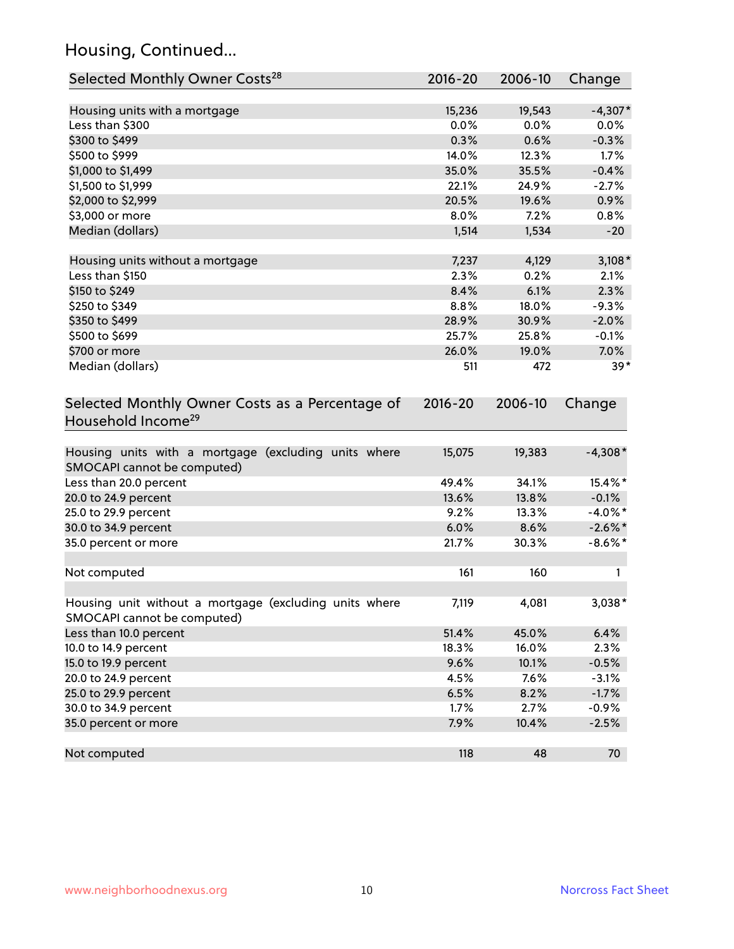## Housing, Continued...

| Selected Monthly Owner Costs <sup>28</sup>                                            | 2016-20 | 2006-10 | Change     |
|---------------------------------------------------------------------------------------|---------|---------|------------|
| Housing units with a mortgage                                                         | 15,236  | 19,543  | $-4,307*$  |
| Less than \$300                                                                       | 0.0%    | 0.0%    | 0.0%       |
| \$300 to \$499                                                                        | 0.3%    | 0.6%    | $-0.3%$    |
| \$500 to \$999                                                                        | 14.0%   | 12.3%   | 1.7%       |
| \$1,000 to \$1,499                                                                    | 35.0%   | 35.5%   | $-0.4%$    |
| \$1,500 to \$1,999                                                                    | 22.1%   | 24.9%   | $-2.7%$    |
| \$2,000 to \$2,999                                                                    | 20.5%   | 19.6%   | 0.9%       |
| \$3,000 or more                                                                       | 8.0%    | 7.2%    | 0.8%       |
| Median (dollars)                                                                      | 1,514   | 1,534   | $-20$      |
| Housing units without a mortgage                                                      | 7,237   | 4,129   | $3,108*$   |
| Less than \$150                                                                       | 2.3%    | 0.2%    | 2.1%       |
| \$150 to \$249                                                                        | 8.4%    | 6.1%    | 2.3%       |
| \$250 to \$349                                                                        | 8.8%    | 18.0%   | $-9.3%$    |
| \$350 to \$499                                                                        | 28.9%   | 30.9%   | $-2.0%$    |
| \$500 to \$699                                                                        | 25.7%   | 25.8%   | $-0.1%$    |
| \$700 or more                                                                         | 26.0%   | 19.0%   | 7.0%       |
| Median (dollars)                                                                      | 511     | 472     | $39*$      |
| Selected Monthly Owner Costs as a Percentage of<br>Household Income <sup>29</sup>     |         |         | Change     |
| Housing units with a mortgage (excluding units where<br>SMOCAPI cannot be computed)   | 15,075  | 19,383  | $-4,308*$  |
| Less than 20.0 percent                                                                | 49.4%   | 34.1%   | 15.4%*     |
| 20.0 to 24.9 percent                                                                  | 13.6%   | 13.8%   | $-0.1%$    |
| 25.0 to 29.9 percent                                                                  | 9.2%    | 13.3%   | $-4.0\%$ * |
| 30.0 to 34.9 percent                                                                  | 6.0%    | 8.6%    | $-2.6\%$ * |
| 35.0 percent or more                                                                  | 21.7%   | 30.3%   | $-8.6\%$ * |
| Not computed                                                                          | 161     | 160     | 1          |
| Housing unit without a mortgage (excluding units where<br>SMOCAPI cannot be computed) | 7,119   | 4,081   | 3,038*     |
| Less than 10.0 percent                                                                | 51.4%   | 45.0%   | 6.4%       |
| 10.0 to 14.9 percent                                                                  | 18.3%   | 16.0%   | 2.3%       |
| 15.0 to 19.9 percent                                                                  | 9.6%    | 10.1%   | $-0.5%$    |
| 20.0 to 24.9 percent                                                                  | 4.5%    | 7.6%    | $-3.1%$    |
| 25.0 to 29.9 percent                                                                  | 6.5%    | 8.2%    | $-1.7%$    |
| 30.0 to 34.9 percent                                                                  | 1.7%    | 2.7%    | $-0.9%$    |
| 35.0 percent or more                                                                  | 7.9%    | 10.4%   | $-2.5%$    |
| Not computed                                                                          | 118     | 48      | 70         |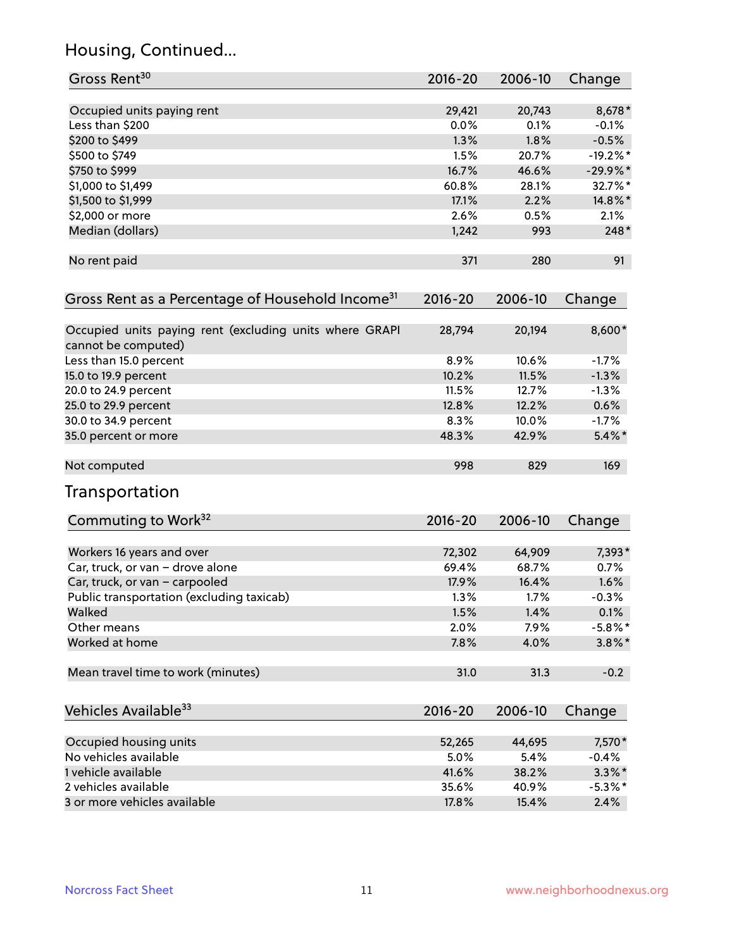## Housing, Continued...

| Gross Rent <sup>30</sup>                                                       | 2016-20     | 2006-10 | Change     |
|--------------------------------------------------------------------------------|-------------|---------|------------|
|                                                                                |             |         |            |
| Occupied units paying rent                                                     | 29,421      | 20,743  | $8,678*$   |
| Less than \$200                                                                | 0.0%        | 0.1%    | $-0.1%$    |
| \$200 to \$499                                                                 | 1.3%        | 1.8%    | $-0.5%$    |
| \$500 to \$749                                                                 | 1.5%        | 20.7%   | $-19.2%$ * |
| \$750 to \$999                                                                 | 16.7%       | 46.6%   | $-29.9%$ * |
| \$1,000 to \$1,499                                                             | 60.8%       | 28.1%   | 32.7%*     |
| \$1,500 to \$1,999                                                             | 17.1%       | 2.2%    | 14.8%*     |
| \$2,000 or more                                                                | 2.6%        | 0.5%    | 2.1%       |
| Median (dollars)                                                               | 1,242       | 993     | $248*$     |
| No rent paid                                                                   | 371         | 280     | 91         |
| Gross Rent as a Percentage of Household Income <sup>31</sup>                   | $2016 - 20$ | 2006-10 | Change     |
| Occupied units paying rent (excluding units where GRAPI<br>cannot be computed) | 28,794      | 20,194  | 8,600*     |
| Less than 15.0 percent                                                         | 8.9%        | 10.6%   | $-1.7%$    |
| 15.0 to 19.9 percent                                                           | 10.2%       | 11.5%   | $-1.3%$    |
| 20.0 to 24.9 percent                                                           | 11.5%       | 12.7%   | $-1.3%$    |
| 25.0 to 29.9 percent                                                           | 12.8%       | 12.2%   | 0.6%       |
| 30.0 to 34.9 percent                                                           | 8.3%        | 10.0%   | $-1.7%$    |
| 35.0 percent or more                                                           | 48.3%       | 42.9%   | $5.4\%$ *  |
| Not computed                                                                   | 998         | 829     | 169        |
| Transportation                                                                 |             |         |            |
| Commuting to Work <sup>32</sup>                                                | 2016-20     | 2006-10 | Change     |
| Workers 16 years and over                                                      | 72,302      | 64,909  | 7,393*     |
| Car, truck, or van - drove alone                                               | 69.4%       | 68.7%   | 0.7%       |
| Car, truck, or van - carpooled                                                 | 17.9%       | 16.4%   | 1.6%       |
| Public transportation (excluding taxicab)                                      | 1.3%        | 1.7%    | $-0.3%$    |
| Walked                                                                         | 1.5%        | 1.4%    | 0.1%       |
| Other means                                                                    | 2.0%        | 7.9%    | $-5.8\%$ * |
| Worked at home                                                                 | 7.8%        | 4.0%    | $3.8\%$ *  |
| Mean travel time to work (minutes)                                             | 31.0        | 31.3    | $-0.2$     |
| Vehicles Available <sup>33</sup>                                               | $2016 - 20$ | 2006-10 | Change     |
| Occupied housing units                                                         | 52,265      | 44,695  | 7,570*     |
| No vehicles available                                                          | 5.0%        | 5.4%    | $-0.4%$    |
| 1 vehicle available                                                            | 41.6%       | 38.2%   | $3.3\%$ *  |
| 2 vehicles available                                                           | 35.6%       | 40.9%   | $-5.3\%$ * |
| 3 or more vehicles available                                                   | 17.8%       | 15.4%   | 2.4%       |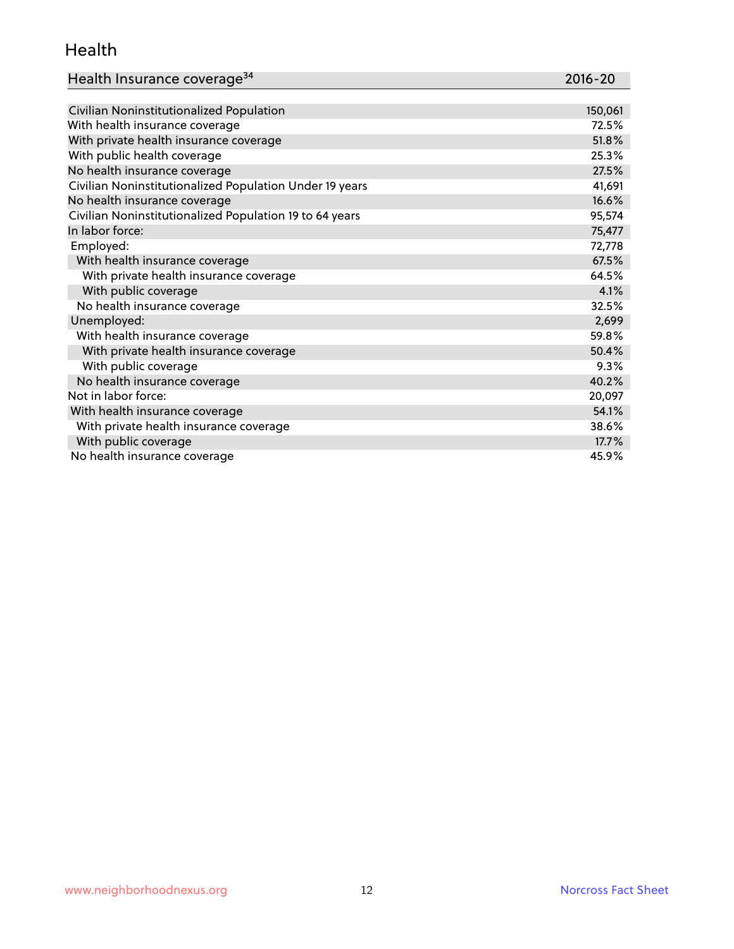#### Health

| Health Insurance coverage <sup>34</sup> | 2016-20 |
|-----------------------------------------|---------|
|-----------------------------------------|---------|

| Civilian Noninstitutionalized Population                | 150,061 |
|---------------------------------------------------------|---------|
| With health insurance coverage                          | 72.5%   |
| With private health insurance coverage                  | 51.8%   |
| With public health coverage                             | 25.3%   |
| No health insurance coverage                            | 27.5%   |
| Civilian Noninstitutionalized Population Under 19 years | 41,691  |
| No health insurance coverage                            | 16.6%   |
| Civilian Noninstitutionalized Population 19 to 64 years | 95,574  |
| In labor force:                                         | 75,477  |
| Employed:                                               | 72,778  |
| With health insurance coverage                          | 67.5%   |
| With private health insurance coverage                  | 64.5%   |
| With public coverage                                    | 4.1%    |
| No health insurance coverage                            | 32.5%   |
| Unemployed:                                             | 2,699   |
| With health insurance coverage                          | 59.8%   |
| With private health insurance coverage                  | 50.4%   |
| With public coverage                                    | 9.3%    |
| No health insurance coverage                            | 40.2%   |
| Not in labor force:                                     | 20,097  |
| With health insurance coverage                          | 54.1%   |
| With private health insurance coverage                  | 38.6%   |
| With public coverage                                    | 17.7%   |
| No health insurance coverage                            | 45.9%   |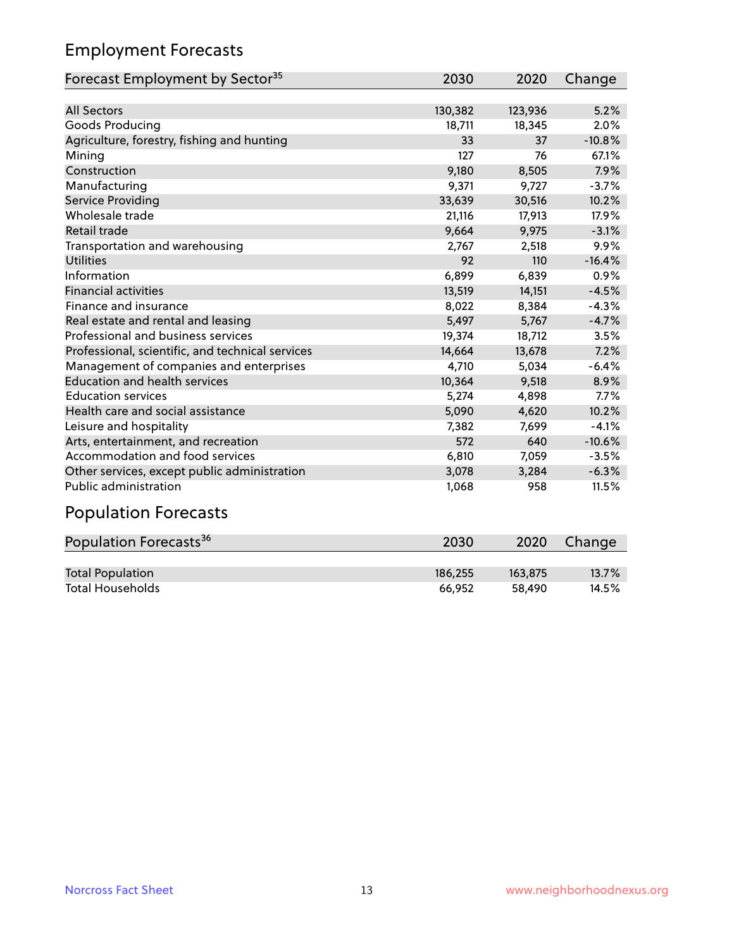## Employment Forecasts

| Forecast Employment by Sector <sup>35</sup>      | 2030    | 2020    | Change   |
|--------------------------------------------------|---------|---------|----------|
|                                                  |         |         |          |
| <b>All Sectors</b>                               | 130,382 | 123,936 | 5.2%     |
| Goods Producing                                  | 18,711  | 18,345  | 2.0%     |
| Agriculture, forestry, fishing and hunting       | 33      | 37      | $-10.8%$ |
| Mining                                           | 127     | 76      | 67.1%    |
| Construction                                     | 9,180   | 8,505   | 7.9%     |
| Manufacturing                                    | 9,371   | 9,727   | $-3.7%$  |
| <b>Service Providing</b>                         | 33,639  | 30,516  | 10.2%    |
| Wholesale trade                                  | 21,116  | 17,913  | 17.9%    |
| Retail trade                                     | 9,664   | 9,975   | $-3.1%$  |
| Transportation and warehousing                   | 2,767   | 2,518   | 9.9%     |
| <b>Utilities</b>                                 | 92      | 110     | $-16.4%$ |
| Information                                      | 6,899   | 6,839   | 0.9%     |
| <b>Financial activities</b>                      | 13,519  | 14,151  | $-4.5%$  |
| Finance and insurance                            | 8,022   | 8,384   | $-4.3%$  |
| Real estate and rental and leasing               | 5,497   | 5,767   | $-4.7%$  |
| Professional and business services               | 19,374  | 18,712  | 3.5%     |
| Professional, scientific, and technical services | 14,664  | 13,678  | 7.2%     |
| Management of companies and enterprises          | 4,710   | 5,034   | $-6.4%$  |
| <b>Education and health services</b>             | 10,364  | 9,518   | 8.9%     |
| <b>Education services</b>                        | 5,274   | 4,898   | 7.7%     |
| Health care and social assistance                | 5,090   | 4,620   | 10.2%    |
| Leisure and hospitality                          | 7,382   | 7,699   | $-4.1%$  |
| Arts, entertainment, and recreation              | 572     | 640     | $-10.6%$ |
| Accommodation and food services                  | 6,810   | 7,059   | $-3.5%$  |
| Other services, except public administration     | 3,078   | 3,284   | $-6.3%$  |
| Public administration                            | 1,068   | 958     | 11.5%    |
| Damilating Faussach                              |         |         |          |

#### Population Forecasts

| Population Forecasts <sup>36</sup> | 2030    | 2020    | Change   |
|------------------------------------|---------|---------|----------|
|                                    |         |         |          |
| <b>Total Population</b>            | 186.255 | 163.875 | $13.7\%$ |
| <b>Total Households</b>            | 66.952  | 58.490  | 14.5%    |